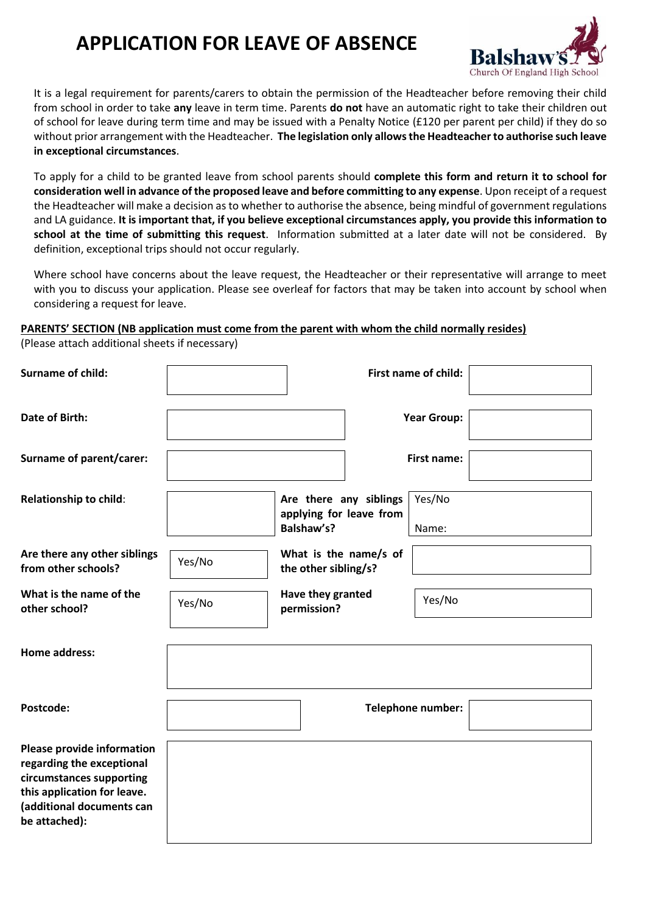## **APPLICATION FOR LEAVE OF ABSENCE**



It is a legal requirement for parents/carers to obtain the permission of the Headteacher before removing their child from school in order to take **any** leave in term time. Parents **do not** have an automatic right to take their children out of school for leave during term time and may be issued with a Penalty Notice (£120 per parent per child) if they do so without prior arrangement with the Headteacher. **The legislation only allows the Headteacher to authorise such leave in exceptional circumstances**.

To apply for a child to be granted leave from school parents should **complete this form and return it to school for consideration well in advance of the proposed leave and before committing to any expense**. Upon receipt of a request the Headteacher will make a decision as to whether to authorise the absence, being mindful of government regulations and LA guidance. **It is important that, if you believe exceptional circumstances apply, you provide this information to school at the time of submitting this request**. Information submitted at a later date will not be considered. By definition, exceptional trips should not occur regularly.

Where school have concerns about the leave request, the Headteacher or their representative will arrange to meet with you to discuss your application. Please see overleaf for factors that may be taken into account by school when considering a request for leave.

## **PARENTS' SECTION (NB application must come from the parent with whom the child normally resides)**

(Please attach additional sheets if necessary)

| <b>Surname of child:</b>                                                                                                                                                |        |                                                                 | First name of child:     |
|-------------------------------------------------------------------------------------------------------------------------------------------------------------------------|--------|-----------------------------------------------------------------|--------------------------|
| <b>Date of Birth:</b>                                                                                                                                                   |        |                                                                 | <b>Year Group:</b>       |
| Surname of parent/carer:                                                                                                                                                |        |                                                                 | <b>First name:</b>       |
| <b>Relationship to child:</b>                                                                                                                                           |        | Are there any siblings<br>applying for leave from<br>Balshaw's? | Yes/No<br>Name:          |
| Are there any other siblings<br>from other schools?                                                                                                                     | Yes/No | What is the name/s of<br>the other sibling/s?                   |                          |
| What is the name of the<br>other school?                                                                                                                                | Yes/No | Have they granted<br>permission?                                | Yes/No                   |
| <b>Home address:</b>                                                                                                                                                    |        |                                                                 |                          |
| Postcode:                                                                                                                                                               |        |                                                                 | <b>Telephone number:</b> |
| <b>Please provide information</b><br>regarding the exceptional<br>circumstances supporting<br>this application for leave.<br>(additional documents can<br>be attached): |        |                                                                 |                          |